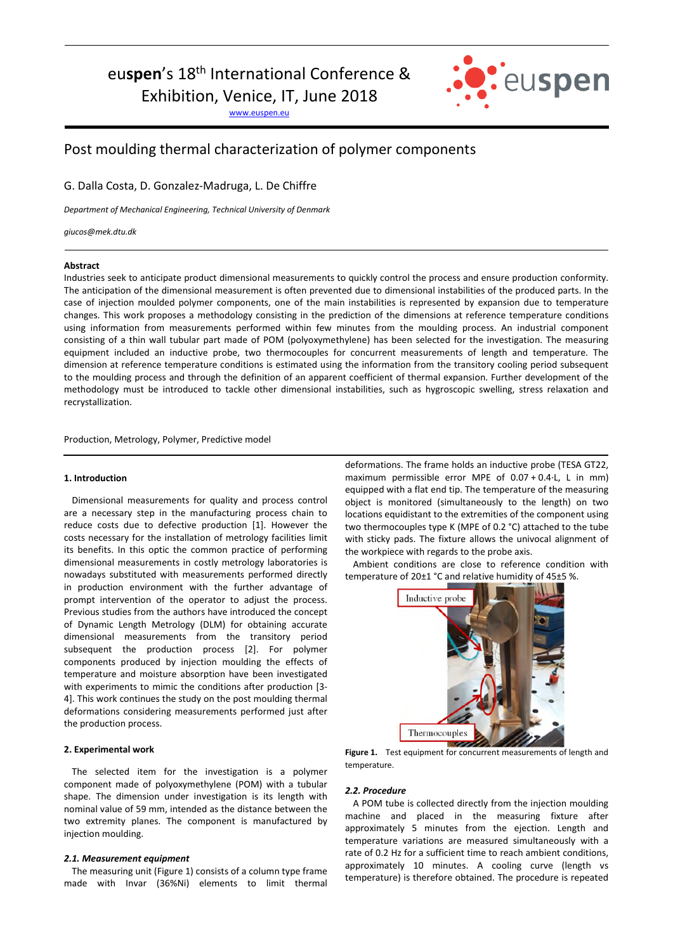# euspen's 18<sup>th</sup> International Conference &

Exhibition, Venice, IT, June 2018

www.euspen.eu



# Post moulding thermal characterization of polymer components

G. Dalla Costa, D. Gonzalez-Madruga, L. De Chiffre

*Department of Mechanical Engineering, Technical University of Denmark* 

*giucos@mek.dtu.dk*

# **Abstract**

Industries seek to anticipate product dimensional measurements to quickly control the process and ensure production conformity. The anticipation of the dimensional measurement is often prevented due to dimensional instabilities of the produced parts. In the case of injection moulded polymer components, one of the main instabilities is represented by expansion due to temperature changes. This work proposes a methodology consisting in the prediction of the dimensions at reference temperature conditions using information from measurements performed within few minutes from the moulding process. An industrial component consisting of a thin wall tubular part made of POM (polyoxymethylene) has been selected for the investigation. The measuring equipment included an inductive probe, two thermocouples for concurrent measurements of length and temperature. The dimension at reference temperature conditions is estimated using the information from the transitory cooling period subsequent to the moulding process and through the definition of an apparent coefficient of thermal expansion. Further development of the methodology must be introduced to tackle other dimensional instabilities, such as hygroscopic swelling, stress relaxation and recrystallization.

Production, Metrology, Polymer, Predictive model

# **1. Introduction**

Dimensional measurements for quality and process control are a necessary step in the manufacturing process chain to reduce costs due to defective production [1]. However the costs necessary for the installation of metrology facilities limit its benefits. In this optic the common practice of performing dimensional measurements in costly metrology laboratories is nowadays substituted with measurements performed directly in production environment with the further advantage of prompt intervention of the operator to adjust the process. Previous studies from the authors have introduced the concept of Dynamic Length Metrology (DLM) for obtaining accurate dimensional measurements from the transitory period subsequent the production process [2]. For polymer components produced by injection moulding the effects of temperature and moisture absorption have been investigated with experiments to mimic the conditions after production [3-4]. This work continues the study on the post moulding thermal deformations considering measurements performed just after the production process.

## **2. Experimental work**

The selected item for the investigation is a polymer component made of polyoxymethylene (POM) with a tubular shape. The dimension under investigation is its length with nominal value of 59 mm, intended as the distance between the two extremity planes. The component is manufactured by injection moulding.

#### *2.1. Measurement equipment*

The measuring unit (Figure 1) consists of a column type frame made with Invar (36%Ni) elements to limit thermal deformations. The frame holds an inductive probe (TESA GT22, maximum permissible error MPE of 0.07 + 0.4·L, L in mm) equipped with a flat end tip. The temperature of the measuring object is monitored (simultaneously to the length) on two locations equidistant to the extremities of the component using two thermocouples type K (MPE of 0.2 °C) attached to the tube with sticky pads. The fixture allows the univocal alignment of the workpiece with regards to the probe axis.

Ambient conditions are close to reference condition with temperature of 20±1 °C and relative humidity of 45±5 %.



**Figure 1.** Test equipment for concurrent measurements of length and temperature.

#### *2.2. Procedure*

A POM tube is collected directly from the injection moulding machine and placed in the measuring fixture after approximately 5 minutes from the ejection. Length and temperature variations are measured simultaneously with a rate of 0.2 Hz for a sufficient time to reach ambient conditions, approximately 10 minutes. A cooling curve (length vs temperature) is therefore obtained. The procedure is repeated